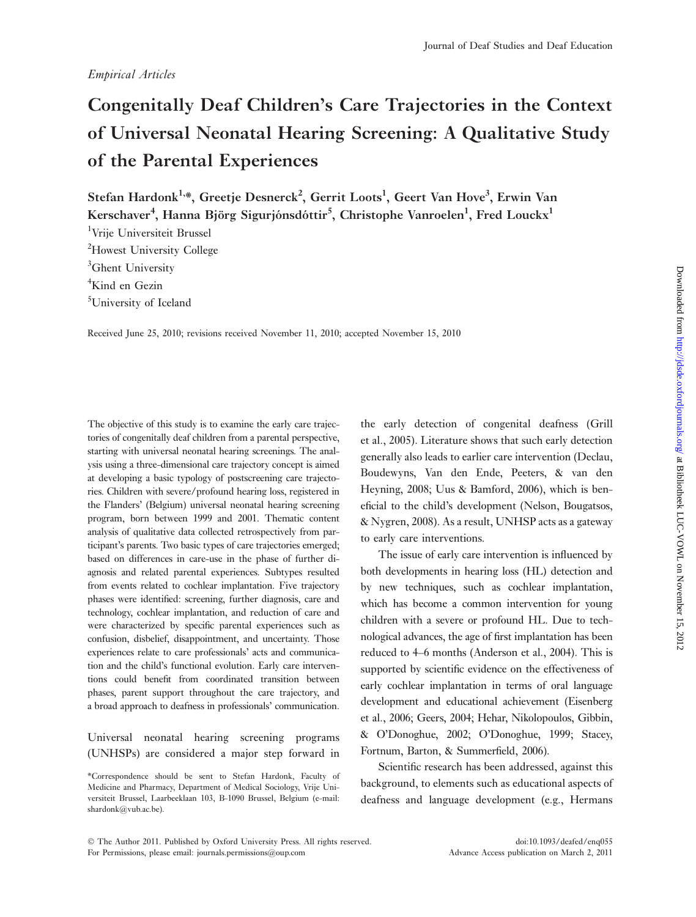# Congenitally Deaf Children's Care Trajectories in the Context of Universal Neonatal Hearing Screening: A Qualitative Study of the Parental Experiences

Stefan Hardonk<sup>1,</sup>\*, Greetje Desnerck<sup>2</sup>, Gerrit Loots<sup>1</sup>, Geert Van Hove<sup>3</sup>, Erwin Van Kerschaver $\rm ^4$ , Hanna Björg Sigurjónsdóttir $\rm ^5$ , Christophe Vanroelen $\rm ^1$ , Fred Louck $\rm x^1$ 

<sup>1</sup>Vrije Universiteit Brussel <sup>2</sup>Howest University College <sup>3</sup>Ghent University 4 Kind en Gezin 5 University of Iceland

Received June 25, 2010; revisions received November 11, 2010; accepted November 15, 2010

The objective of this study is to examine the early care trajectories of congenitally deaf children from a parental perspective, starting with universal neonatal hearing screenings. The analysis using a three-dimensional care trajectory concept is aimed at developing a basic typology of postscreening care trajectories. Children with severe/profound hearing loss, registered in the Flanders' (Belgium) universal neonatal hearing screening program, born between 1999 and 2001. Thematic content analysis of qualitative data collected retrospectively from participant's parents. Two basic types of care trajectories emerged; based on differences in care-use in the phase of further diagnosis and related parental experiences. Subtypes resulted from events related to cochlear implantation. Five trajectory phases were identified: screening, further diagnosis, care and technology, cochlear implantation, and reduction of care and were characterized by specific parental experiences such as confusion, disbelief, disappointment, and uncertainty. Those experiences relate to care professionals' acts and communication and the child's functional evolution. Early care interventions could benefit from coordinated transition between phases, parent support throughout the care trajectory, and a broad approach to deafness in professionals' communication.

Universal neonatal hearing screening programs (UNHSPs) are considered a major step forward in

the early detection of congenital deafness (Grill et al., 2005). Literature shows that such early detection generally also leads to earlier care intervention (Declau, Boudewyns, Van den Ende, Peeters, & van den Heyning, 2008; Uus & Bamford, 2006), which is beneficial to the child's development (Nelson, Bougatsos, & Nygren, 2008). As a result, UNHSP acts as a gateway to early care interventions.

The issue of early care intervention is influenced by both developments in hearing loss (HL) detection and by new techniques, such as cochlear implantation, which has become a common intervention for young children with a severe or profound HL. Due to technological advances, the age of first implantation has been reduced to 4–6 months (Anderson et al., 2004). This is supported by scientific evidence on the effectiveness of early cochlear implantation in terms of oral language development and educational achievement (Eisenberg et al., 2006; Geers, 2004; Hehar, Nikolopoulos, Gibbin, & O'Donoghue, 2002; O'Donoghue, 1999; Stacey, Fortnum, Barton, & Summerfield, 2006).

Scientific research has been addressed, against this background, to elements such as educational aspects of deafness and language development (e.g., Hermans

<sup>\*</sup>Correspondence should be sent to Stefan Hardonk, Faculty of Medicine and Pharmacy, Department of Medical Sociology, Vrije Universiteit Brussel, Laarbeeklaan 103, B-1090 Brussel, Belgium (e-mail: shardonk@vub.ac.be).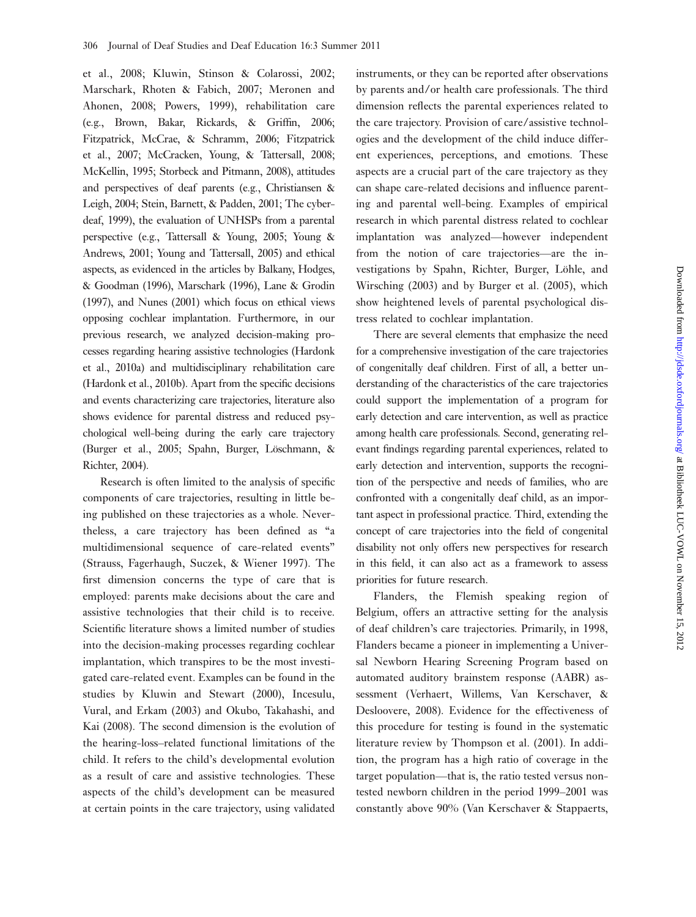et al., 2008; Kluwin, Stinson & Colarossi, 2002; Marschark, Rhoten & Fabich, 2007; Meronen and Ahonen, 2008; Powers, 1999), rehabilitation care (e.g., Brown, Bakar, Rickards, & Griffin, 2006; Fitzpatrick, McCrae, & Schramm, 2006; Fitzpatrick et al., 2007; McCracken, Young, & Tattersall, 2008; McKellin, 1995; Storbeck and Pitmann, 2008), attitudes and perspectives of deaf parents (e.g., Christiansen & Leigh, 2004; Stein, Barnett, & Padden, 2001; The cyberdeaf, 1999), the evaluation of UNHSPs from a parental perspective (e.g., Tattersall & Young, 2005; Young & Andrews, 2001; Young and Tattersall, 2005) and ethical aspects, as evidenced in the articles by Balkany, Hodges, & Goodman (1996), Marschark (1996), Lane & Grodin (1997), and Nunes (2001) which focus on ethical views opposing cochlear implantation. Furthermore, in our previous research, we analyzed decision-making processes regarding hearing assistive technologies (Hardonk et al., 2010a) and multidisciplinary rehabilitation care (Hardonk et al., 2010b). Apart from the specific decisions and events characterizing care trajectories, literature also shows evidence for parental distress and reduced psychological well-being during the early care trajectory (Burger et al., 2005; Spahn, Burger, Löschmann, & Richter, 2004).

Research is often limited to the analysis of specific components of care trajectories, resulting in little being published on these trajectories as a whole. Nevertheless, a care trajectory has been defined as ''a multidimensional sequence of care-related events'' (Strauss, Fagerhaugh, Suczek, & Wiener 1997). The first dimension concerns the type of care that is employed: parents make decisions about the care and assistive technologies that their child is to receive. Scientific literature shows a limited number of studies into the decision-making processes regarding cochlear implantation, which transpires to be the most investigated care-related event. Examples can be found in the studies by Kluwin and Stewart (2000), Incesulu, Vural, and Erkam (2003) and Okubo, Takahashi, and Kai (2008). The second dimension is the evolution of the hearing-loss–related functional limitations of the child. It refers to the child's developmental evolution as a result of care and assistive technologies. These aspects of the child's development can be measured at certain points in the care trajectory, using validated

instruments, or they can be reported after observations by parents and/or health care professionals. The third dimension reflects the parental experiences related to the care trajectory. Provision of care/assistive technologies and the development of the child induce different experiences, perceptions, and emotions. These aspects are a crucial part of the care trajectory as they can shape care-related decisions and influence parenting and parental well-being. Examples of empirical research in which parental distress related to cochlear implantation was analyzed—however independent from the notion of care trajectories—are the investigations by Spahn, Richter, Burger, Löhle, and Wirsching (2003) and by Burger et al. (2005), which show heightened levels of parental psychological distress related to cochlear implantation.

There are several elements that emphasize the need for a comprehensive investigation of the care trajectories of congenitally deaf children. First of all, a better understanding of the characteristics of the care trajectories could support the implementation of a program for early detection and care intervention, as well as practice among health care professionals. Second, generating relevant findings regarding parental experiences, related to early detection and intervention, supports the recognition of the perspective and needs of families, who are confronted with a congenitally deaf child, as an important aspect in professional practice. Third, extending the concept of care trajectories into the field of congenital disability not only offers new perspectives for research in this field, it can also act as a framework to assess priorities for future research.

Flanders, the Flemish speaking region of Belgium, offers an attractive setting for the analysis of deaf children's care trajectories. Primarily, in 1998, Flanders became a pioneer in implementing a Universal Newborn Hearing Screening Program based on automated auditory brainstem response (AABR) assessment (Verhaert, Willems, Van Kerschaver, & Desloovere, 2008). Evidence for the effectiveness of this procedure for testing is found in the systematic literature review by Thompson et al. (2001). In addition, the program has a high ratio of coverage in the target population—that is, the ratio tested versus nontested newborn children in the period 1999–2001 was constantly above 90% (Van Kerschaver & Stappaerts,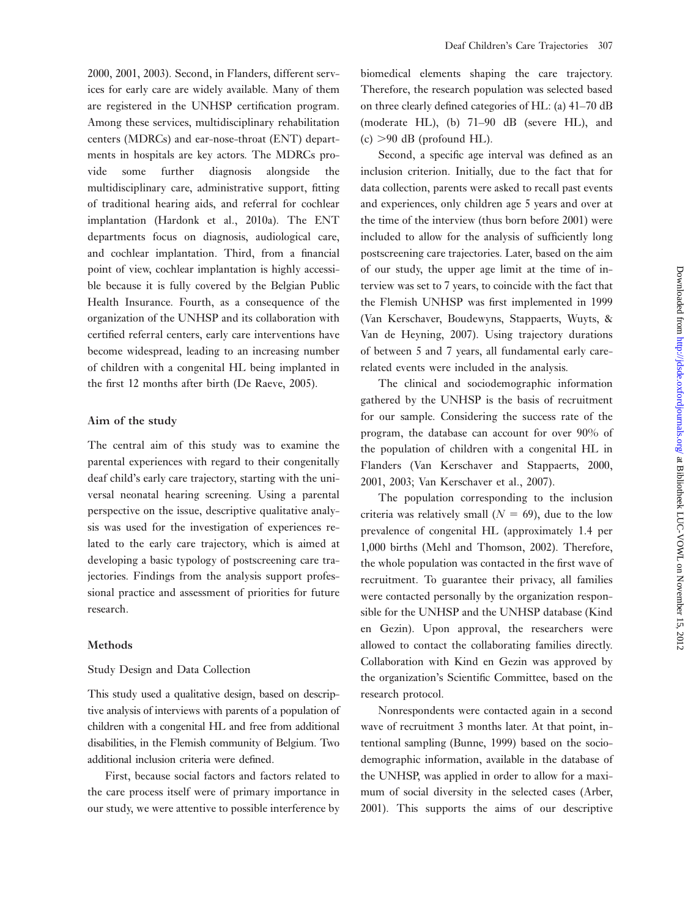2000, 2001, 2003). Second, in Flanders, different services for early care are widely available. Many of them are registered in the UNHSP certification program. Among these services, multidisciplinary rehabilitation centers (MDRCs) and ear-nose-throat (ENT) departments in hospitals are key actors. The MDRCs provide some further diagnosis alongside the multidisciplinary care, administrative support, fitting of traditional hearing aids, and referral for cochlear implantation (Hardonk et al., 2010a). The ENT departments focus on diagnosis, audiological care, and cochlear implantation. Third, from a financial point of view, cochlear implantation is highly accessible because it is fully covered by the Belgian Public Health Insurance. Fourth, as a consequence of the organization of the UNHSP and its collaboration with certified referral centers, early care interventions have become widespread, leading to an increasing number of children with a congenital HL being implanted in the first 12 months after birth (De Raeve, 2005).

#### Aim of the study

The central aim of this study was to examine the parental experiences with regard to their congenitally deaf child's early care trajectory, starting with the universal neonatal hearing screening. Using a parental perspective on the issue, descriptive qualitative analysis was used for the investigation of experiences related to the early care trajectory, which is aimed at developing a basic typology of postscreening care trajectories. Findings from the analysis support professional practice and assessment of priorities for future research.

### Methods

### Study Design and Data Collection

This study used a qualitative design, based on descriptive analysis of interviews with parents of a population of children with a congenital HL and free from additional disabilities, in the Flemish community of Belgium. Two additional inclusion criteria were defined.

First, because social factors and factors related to the care process itself were of primary importance in our study, we were attentive to possible interference by

biomedical elements shaping the care trajectory. Therefore, the research population was selected based on three clearly defined categories of HL: (a) 41–70 dB (moderate HL), (b) 71–90 dB (severe HL), and  $(c)$  >90 dB (profound HL).

Second, a specific age interval was defined as an inclusion criterion. Initially, due to the fact that for data collection, parents were asked to recall past events and experiences, only children age 5 years and over at the time of the interview (thus born before 2001) were included to allow for the analysis of sufficiently long postscreening care trajectories. Later, based on the aim of our study, the upper age limit at the time of interview was set to 7 years, to coincide with the fact that the Flemish UNHSP was first implemented in 1999 (Van Kerschaver, Boudewyns, Stappaerts, Wuyts, & Van de Heyning, 2007). Using trajectory durations of between 5 and 7 years, all fundamental early carerelated events were included in the analysis.

The clinical and sociodemographic information gathered by the UNHSP is the basis of recruitment for our sample. Considering the success rate of the program, the database can account for over 90% of the population of children with a congenital HL in Flanders (Van Kerschaver and Stappaerts, 2000, 2001, 2003; Van Kerschaver et al., 2007).

The population corresponding to the inclusion criteria was relatively small ( $N = 69$ ), due to the low prevalence of congenital HL (approximately 1.4 per 1,000 births (Mehl and Thomson, 2002). Therefore, the whole population was contacted in the first wave of recruitment. To guarantee their privacy, all families were contacted personally by the organization responsible for the UNHSP and the UNHSP database (Kind en Gezin). Upon approval, the researchers were allowed to contact the collaborating families directly. Collaboration with Kind en Gezin was approved by the organization's Scientific Committee, based on the research protocol.

Nonrespondents were contacted again in a second wave of recruitment 3 months later. At that point, intentional sampling (Bunne, 1999) based on the sociodemographic information, available in the database of the UNHSP, was applied in order to allow for a maximum of social diversity in the selected cases (Arber, 2001). This supports the aims of our descriptive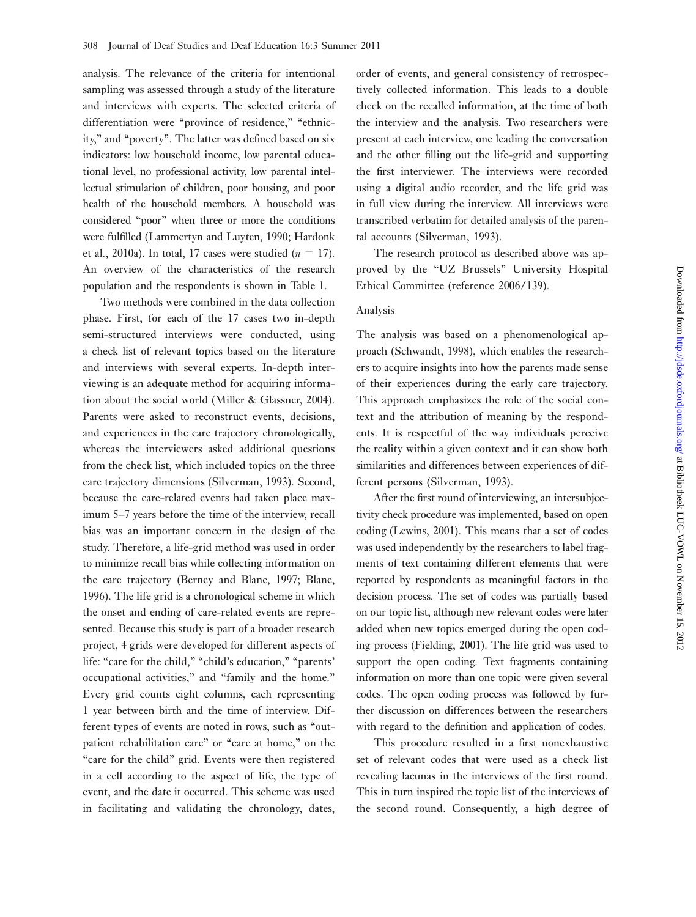analysis. The relevance of the criteria for intentional sampling was assessed through a study of the literature and interviews with experts. The selected criteria of differentiation were "province of residence," "ethnicity," and "poverty". The latter was defined based on six indicators: low household income, low parental educational level, no professional activity, low parental intellectual stimulation of children, poor housing, and poor health of the household members. A household was considered ''poor'' when three or more the conditions were fulfilled (Lammertyn and Luyten, 1990; Hardonk et al., 2010a). In total, 17 cases were studied  $(n = 17)$ . An overview of the characteristics of the research population and the respondents is shown in Table 1.

Two methods were combined in the data collection phase. First, for each of the 17 cases two in-depth semi-structured interviews were conducted, using a check list of relevant topics based on the literature and interviews with several experts. In-depth interviewing is an adequate method for acquiring information about the social world (Miller & Glassner, 2004). Parents were asked to reconstruct events, decisions, and experiences in the care trajectory chronologically, whereas the interviewers asked additional questions from the check list, which included topics on the three care trajectory dimensions (Silverman, 1993). Second, because the care-related events had taken place maximum 5–7 years before the time of the interview, recall bias was an important concern in the design of the study. Therefore, a life-grid method was used in order to minimize recall bias while collecting information on the care trajectory (Berney and Blane, 1997; Blane, 1996). The life grid is a chronological scheme in which the onset and ending of care-related events are represented. Because this study is part of a broader research project, 4 grids were developed for different aspects of life: "care for the child," "child's education," "parents' occupational activities,'' and ''family and the home.'' Every grid counts eight columns, each representing 1 year between birth and the time of interview. Different types of events are noted in rows, such as ''outpatient rehabilitation care" or "care at home," on the "care for the child" grid. Events were then registered in a cell according to the aspect of life, the type of event, and the date it occurred. This scheme was used in facilitating and validating the chronology, dates,

order of events, and general consistency of retrospectively collected information. This leads to a double check on the recalled information, at the time of both the interview and the analysis. Two researchers were present at each interview, one leading the conversation and the other filling out the life-grid and supporting the first interviewer. The interviews were recorded using a digital audio recorder, and the life grid was in full view during the interview. All interviews were transcribed verbatim for detailed analysis of the parental accounts (Silverman, 1993).

The research protocol as described above was approved by the "UZ Brussels" University Hospital Ethical Committee (reference 2006/139).

#### Analysis

The analysis was based on a phenomenological approach (Schwandt, 1998), which enables the researchers to acquire insights into how the parents made sense of their experiences during the early care trajectory. This approach emphasizes the role of the social context and the attribution of meaning by the respondents. It is respectful of the way individuals perceive the reality within a given context and it can show both similarities and differences between experiences of different persons (Silverman, 1993).

After the first round of interviewing, an intersubjectivity check procedure was implemented, based on open coding (Lewins, 2001). This means that a set of codes was used independently by the researchers to label fragments of text containing different elements that were reported by respondents as meaningful factors in the decision process. The set of codes was partially based on our topic list, although new relevant codes were later added when new topics emerged during the open coding process (Fielding, 2001). The life grid was used to support the open coding. Text fragments containing information on more than one topic were given several codes. The open coding process was followed by further discussion on differences between the researchers with regard to the definition and application of codes.

This procedure resulted in a first nonexhaustive set of relevant codes that were used as a check list revealing lacunas in the interviews of the first round. This in turn inspired the topic list of the interviews of the second round. Consequently, a high degree of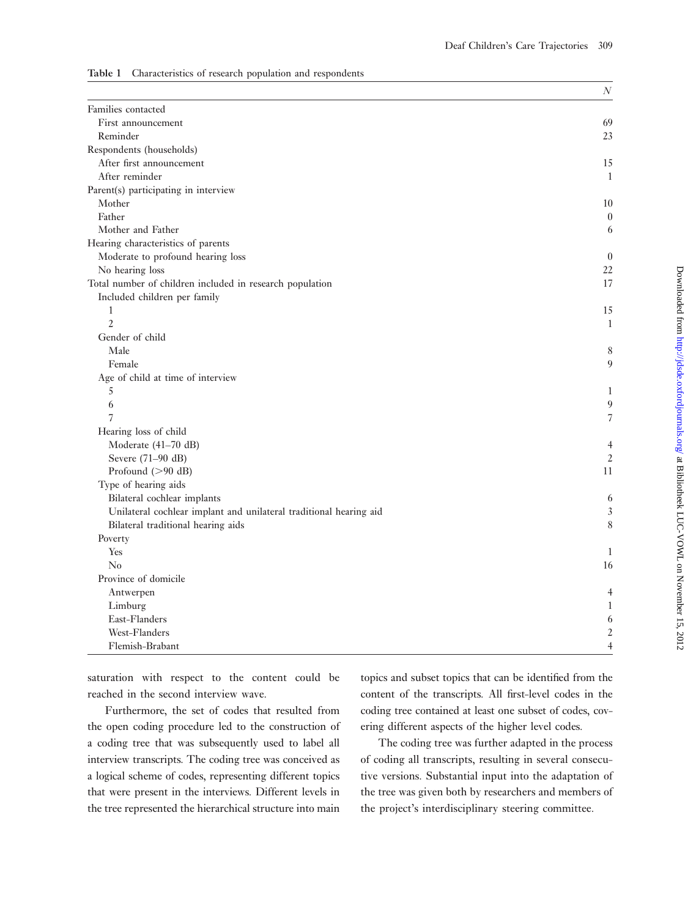| Table 1 |  |  |  | Characteristics of research population and respondents |
|---------|--|--|--|--------------------------------------------------------|
|---------|--|--|--|--------------------------------------------------------|

|                                                                    | $\boldsymbol{N}$ |
|--------------------------------------------------------------------|------------------|
| Families contacted                                                 |                  |
| First announcement                                                 | 69               |
| Reminder                                                           | 23               |
| Respondents (households)                                           |                  |
| After first announcement                                           | 15               |
| After reminder                                                     | $\mathbf{1}$     |
| Parent(s) participating in interview                               |                  |
| Mother                                                             | 10               |
| Father                                                             | $\boldsymbol{0}$ |
| Mother and Father                                                  | 6                |
| Hearing characteristics of parents                                 |                  |
| Moderate to profound hearing loss                                  | $\boldsymbol{0}$ |
| No hearing loss                                                    | 22               |
| Total number of children included in research population           | 17               |
| Included children per family                                       |                  |
| $\mathbf{1}$                                                       | 15               |
| $\overline{c}$                                                     | 1                |
| Gender of child                                                    |                  |
| Male                                                               | 8                |
| Female                                                             | 9                |
| Age of child at time of interview                                  |                  |
| 5                                                                  | 1                |
| 6                                                                  | 9                |
| 7                                                                  | 7                |
| Hearing loss of child                                              |                  |
| Moderate (41-70 dB)                                                | 4                |
| Severe (71-90 dB)                                                  | $\overline{c}$   |
| Profound $(>90$ dB)                                                | 11               |
| Type of hearing aids                                               |                  |
| Bilateral cochlear implants                                        | 6                |
| Unilateral cochlear implant and unilateral traditional hearing aid | 3                |
| Bilateral traditional hearing aids                                 | 8                |
| Poverty                                                            |                  |
| Yes                                                                | 1                |
| $\rm No$                                                           | 16               |
| Province of domicile                                               |                  |
| Antwerpen                                                          | 4                |
| Limburg                                                            | 1                |
| East-Flanders                                                      | 6                |
| West-Flanders                                                      | 2                |
| Flemish-Brabant                                                    | 4                |

saturation with respect to the content could be reached in the second interview wave.

Furthermore, the set of codes that resulted from the open coding procedure led to the construction of a coding tree that was subsequently used to label all interview transcripts. The coding tree was conceived as a logical scheme of codes, representing different topics that were present in the interviews. Different levels in the tree represented the hierarchical structure into main topics and subset topics that can be identified from the content of the transcripts. All first-level codes in the coding tree contained at least one subset of codes, covering different aspects of the higher level codes.

The coding tree was further adapted in the process of coding all transcripts, resulting in several consecutive versions. Substantial input into the adaptation of the tree was given both by researchers and members of the project's interdisciplinary steering committee.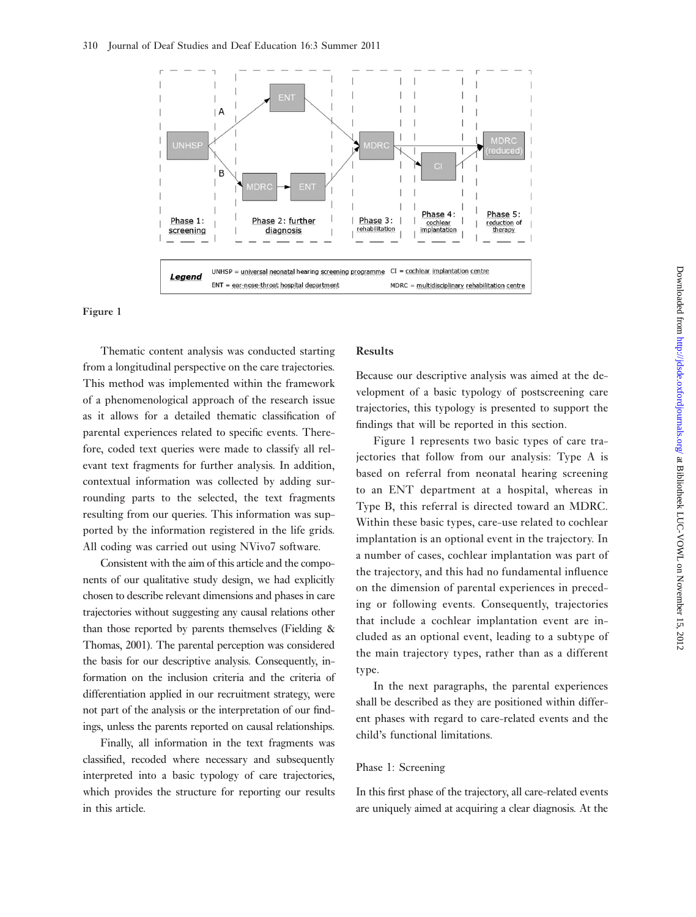

#### Figure 1

Thematic content analysis was conducted starting from a longitudinal perspective on the care trajectories. This method was implemented within the framework of a phenomenological approach of the research issue as it allows for a detailed thematic classification of parental experiences related to specific events. Therefore, coded text queries were made to classify all relevant text fragments for further analysis. In addition, contextual information was collected by adding surrounding parts to the selected, the text fragments resulting from our queries. This information was supported by the information registered in the life grids. All coding was carried out using NVivo7 software.

Consistent with the aim of this article and the components of our qualitative study design, we had explicitly chosen to describe relevant dimensions and phases in care trajectories without suggesting any causal relations other than those reported by parents themselves (Fielding & Thomas, 2001). The parental perception was considered the basis for our descriptive analysis. Consequently, information on the inclusion criteria and the criteria of differentiation applied in our recruitment strategy, were not part of the analysis or the interpretation of our findings, unless the parents reported on causal relationships.

Finally, all information in the text fragments was classified, recoded where necessary and subsequently interpreted into a basic typology of care trajectories, which provides the structure for reporting our results in this article.

# Results

Because our descriptive analysis was aimed at the development of a basic typology of postscreening care trajectories, this typology is presented to support the findings that will be reported in this section.

Figure 1 represents two basic types of care trajectories that follow from our analysis: Type A is based on referral from neonatal hearing screening to an ENT department at a hospital, whereas in Type B, this referral is directed toward an MDRC. Within these basic types, care-use related to cochlear implantation is an optional event in the trajectory. In a number of cases, cochlear implantation was part of the trajectory, and this had no fundamental influence on the dimension of parental experiences in preceding or following events. Consequently, trajectories that include a cochlear implantation event are included as an optional event, leading to a subtype of the main trajectory types, rather than as a different type.

In the next paragraphs, the parental experiences shall be described as they are positioned within different phases with regard to care-related events and the child's functional limitations.

#### Phase 1: Screening

In this first phase of the trajectory, all care-related events are uniquely aimed at acquiring a clear diagnosis. At the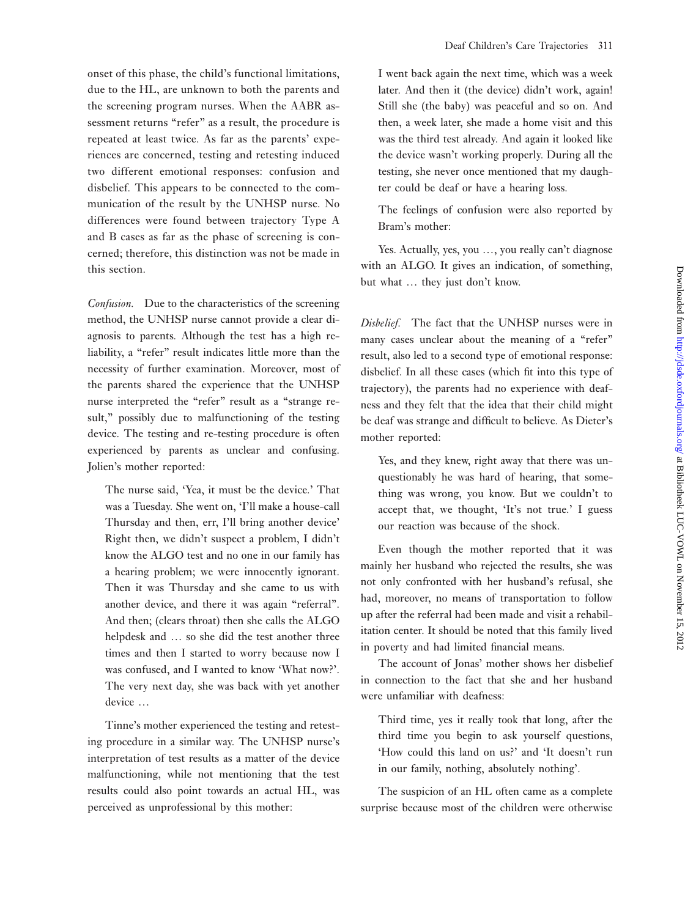onset of this phase, the child's functional limitations, due to the HL, are unknown to both the parents and the screening program nurses. When the AABR assessment returns "refer" as a result, the procedure is repeated at least twice. As far as the parents' experiences are concerned, testing and retesting induced two different emotional responses: confusion and disbelief. This appears to be connected to the communication of the result by the UNHSP nurse. No differences were found between trajectory Type A and B cases as far as the phase of screening is concerned; therefore, this distinction was not be made in this section.

Confusion. Due to the characteristics of the screening method, the UNHSP nurse cannot provide a clear diagnosis to parents. Although the test has a high reliability, a ''refer'' result indicates little more than the necessity of further examination. Moreover, most of the parents shared the experience that the UNHSP nurse interpreted the "refer" result as a "strange result," possibly due to malfunctioning of the testing device. The testing and re-testing procedure is often experienced by parents as unclear and confusing. Jolien's mother reported:

The nurse said, 'Yea, it must be the device.' That was a Tuesday. She went on, 'I'll make a house-call Thursday and then, err, I'll bring another device' Right then, we didn't suspect a problem, I didn't know the ALGO test and no one in our family has a hearing problem; we were innocently ignorant. Then it was Thursday and she came to us with another device, and there it was again "referral". And then; (clears throat) then she calls the ALGO helpdesk and ... so she did the test another three times and then I started to worry because now I was confused, and I wanted to know 'What now?'. The very next day, she was back with yet another device ...

Tinne's mother experienced the testing and retesting procedure in a similar way. The UNHSP nurse's interpretation of test results as a matter of the device malfunctioning, while not mentioning that the test results could also point towards an actual HL, was perceived as unprofessional by this mother:

I went back again the next time, which was a week later. And then it (the device) didn't work, again! Still she (the baby) was peaceful and so on. And then, a week later, she made a home visit and this was the third test already. And again it looked like the device wasn't working properly. During all the testing, she never once mentioned that my daughter could be deaf or have a hearing loss.

The feelings of confusion were also reported by Bram's mother:

Yes. Actually, yes, you ..., you really can't diagnose with an ALGO. It gives an indication, of something, but what ... they just don't know.

Disbelief. The fact that the UNHSP nurses were in many cases unclear about the meaning of a "refer" result, also led to a second type of emotional response: disbelief. In all these cases (which fit into this type of trajectory), the parents had no experience with deafness and they felt that the idea that their child might be deaf was strange and difficult to believe. As Dieter's mother reported:

Yes, and they knew, right away that there was unquestionably he was hard of hearing, that something was wrong, you know. But we couldn't to accept that, we thought, 'It's not true.' I guess our reaction was because of the shock.

Even though the mother reported that it was mainly her husband who rejected the results, she was not only confronted with her husband's refusal, she had, moreover, no means of transportation to follow up after the referral had been made and visit a rehabilitation center. It should be noted that this family lived in poverty and had limited financial means.

The account of Jonas' mother shows her disbelief in connection to the fact that she and her husband were unfamiliar with deafness:

Third time, yes it really took that long, after the third time you begin to ask yourself questions, 'How could this land on us?' and 'It doesn't run in our family, nothing, absolutely nothing'.

The suspicion of an HL often came as a complete surprise because most of the children were otherwise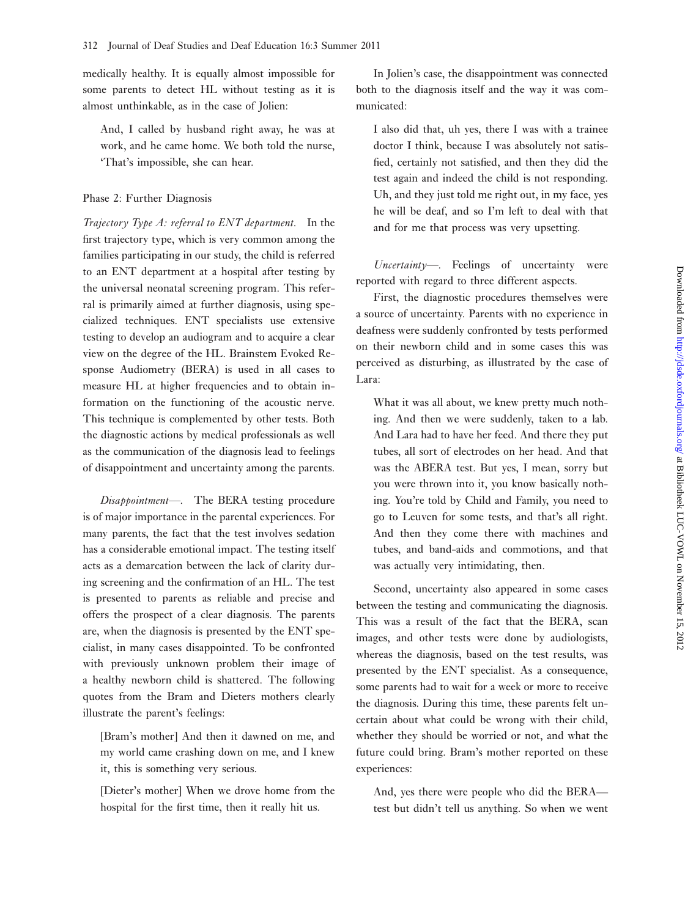medically healthy. It is equally almost impossible for some parents to detect HL without testing as it is almost unthinkable, as in the case of Jolien:

And, I called by husband right away, he was at work, and he came home. We both told the nurse, 'That's impossible, she can hear.

### Phase 2: Further Diagnosis

Trajectory Type A: referral to ENT department. In the first trajectory type, which is very common among the families participating in our study, the child is referred to an ENT department at a hospital after testing by the universal neonatal screening program. This referral is primarily aimed at further diagnosis, using specialized techniques. ENT specialists use extensive testing to develop an audiogram and to acquire a clear view on the degree of the HL. Brainstem Evoked Response Audiometry (BERA) is used in all cases to measure HL at higher frequencies and to obtain information on the functioning of the acoustic nerve. This technique is complemented by other tests. Both the diagnostic actions by medical professionals as well as the communication of the diagnosis lead to feelings of disappointment and uncertainty among the parents.

Disappointment—. The BERA testing procedure is of major importance in the parental experiences. For many parents, the fact that the test involves sedation has a considerable emotional impact. The testing itself acts as a demarcation between the lack of clarity during screening and the confirmation of an HL. The test is presented to parents as reliable and precise and offers the prospect of a clear diagnosis. The parents are, when the diagnosis is presented by the ENT specialist, in many cases disappointed. To be confronted with previously unknown problem their image of a healthy newborn child is shattered. The following quotes from the Bram and Dieters mothers clearly illustrate the parent's feelings:

[Bram's mother] And then it dawned on me, and my world came crashing down on me, and I knew it, this is something very serious.

[Dieter's mother] When we drove home from the hospital for the first time, then it really hit us.

In Jolien's case, the disappointment was connected both to the diagnosis itself and the way it was communicated:

I also did that, uh yes, there I was with a trainee doctor I think, because I was absolutely not satisfied, certainly not satisfied, and then they did the test again and indeed the child is not responding. Uh, and they just told me right out, in my face, yes he will be deaf, and so I'm left to deal with that and for me that process was very upsetting.

Uncertainty- Feelings of uncertainty were reported with regard to three different aspects.

First, the diagnostic procedures themselves were a source of uncertainty. Parents with no experience in deafness were suddenly confronted by tests performed on their newborn child and in some cases this was perceived as disturbing, as illustrated by the case of Lara:

What it was all about, we knew pretty much nothing. And then we were suddenly, taken to a lab. And Lara had to have her feed. And there they put tubes, all sort of electrodes on her head. And that was the ABERA test. But yes, I mean, sorry but you were thrown into it, you know basically nothing. You're told by Child and Family, you need to go to Leuven for some tests, and that's all right. And then they come there with machines and tubes, and band-aids and commotions, and that was actually very intimidating, then.

Second, uncertainty also appeared in some cases between the testing and communicating the diagnosis. This was a result of the fact that the BERA, scan images, and other tests were done by audiologists, whereas the diagnosis, based on the test results, was presented by the ENT specialist. As a consequence, some parents had to wait for a week or more to receive the diagnosis. During this time, these parents felt uncertain about what could be wrong with their child, whether they should be worried or not, and what the future could bring. Bram's mother reported on these experiences:

And, yes there were people who did the BERA test but didn't tell us anything. So when we went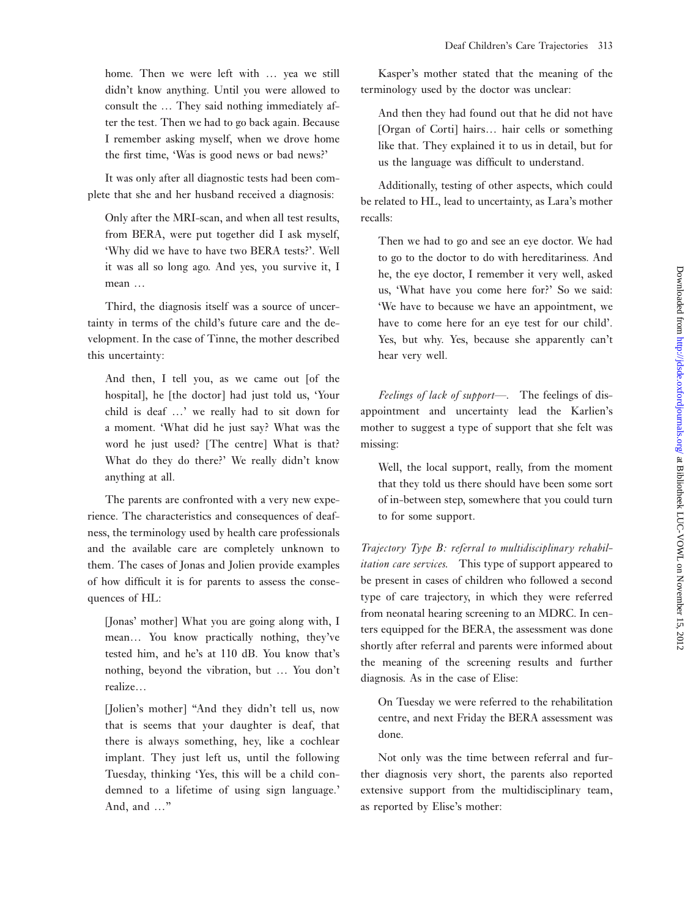home. Then we were left with ... yea we still didn't know anything. Until you were allowed to consult the ... They said nothing immediately after the test. Then we had to go back again. Because I remember asking myself, when we drove home the first time, 'Was is good news or bad news?'

It was only after all diagnostic tests had been complete that she and her husband received a diagnosis:

Only after the MRI-scan, and when all test results, from BERA, were put together did I ask myself, 'Why did we have to have two BERA tests?'. Well it was all so long ago. And yes, you survive it, I mean ...

Third, the diagnosis itself was a source of uncertainty in terms of the child's future care and the development. In the case of Tinne, the mother described this uncertainty:

And then, I tell you, as we came out [of the hospital], he [the doctor] had just told us, 'Your child is deaf ...' we really had to sit down for a moment. 'What did he just say? What was the word he just used? [The centre] What is that? What do they do there?' We really didn't know anything at all.

The parents are confronted with a very new experience. The characteristics and consequences of deafness, the terminology used by health care professionals and the available care are completely unknown to them. The cases of Jonas and Jolien provide examples of how difficult it is for parents to assess the consequences of HL:

[Jonas' mother] What you are going along with, I mean. You know practically nothing, they've tested him, and he's at 110 dB. You know that's nothing, beyond the vibration, but ... You don't realize.

[Jolien's mother] "And they didn't tell us, now that is seems that your daughter is deaf, that there is always something, hey, like a cochlear implant. They just left us, until the following Tuesday, thinking 'Yes, this will be a child condemned to a lifetime of using sign language.' And, and  $\ldots$ "

Kasper's mother stated that the meaning of the terminology used by the doctor was unclear:

And then they had found out that he did not have [Organ of Corti] hairs... hair cells or something like that. They explained it to us in detail, but for us the language was difficult to understand.

Additionally, testing of other aspects, which could be related to HL, lead to uncertainty, as Lara's mother recalls:

Then we had to go and see an eye doctor. We had to go to the doctor to do with hereditariness. And he, the eye doctor, I remember it very well, asked us, 'What have you come here for?' So we said: 'We have to because we have an appointment, we have to come here for an eye test for our child'. Yes, but why. Yes, because she apparently can't hear very well.

Feelings of lack of support—. The feelings of disappointment and uncertainty lead the Karlien's mother to suggest a type of support that she felt was missing:

Well, the local support, really, from the moment that they told us there should have been some sort of in-between step, somewhere that you could turn to for some support.

Trajectory Type B: referral to multidisciplinary rehabilitation care services. This type of support appeared to be present in cases of children who followed a second type of care trajectory, in which they were referred from neonatal hearing screening to an MDRC. In centers equipped for the BERA, the assessment was done shortly after referral and parents were informed about the meaning of the screening results and further diagnosis. As in the case of Elise:

On Tuesday we were referred to the rehabilitation centre, and next Friday the BERA assessment was done.

Not only was the time between referral and further diagnosis very short, the parents also reported extensive support from the multidisciplinary team, as reported by Elise's mother: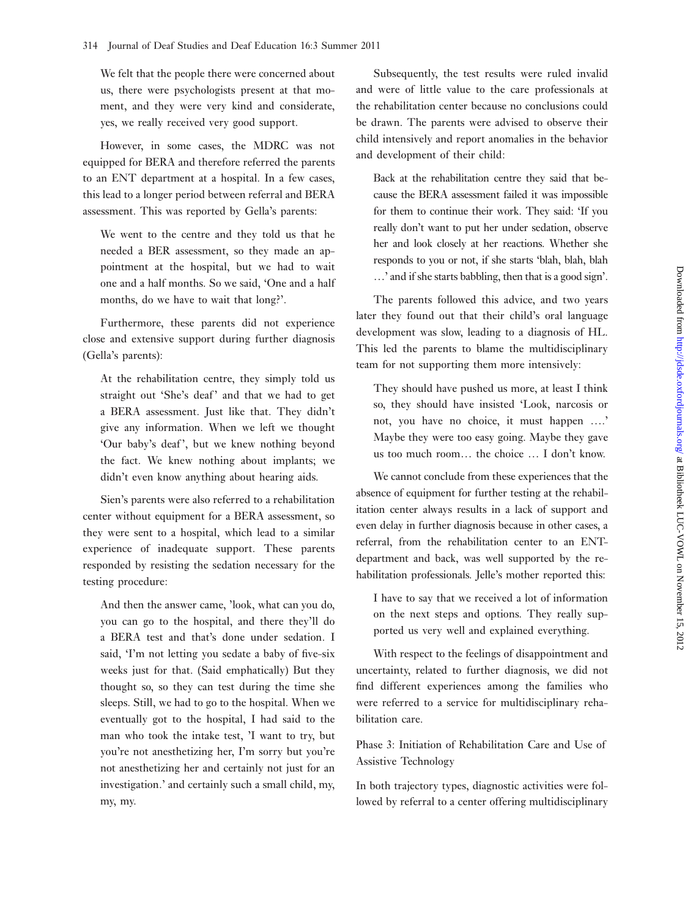We felt that the people there were concerned about us, there were psychologists present at that moment, and they were very kind and considerate, yes, we really received very good support.

However, in some cases, the MDRC was not equipped for BERA and therefore referred the parents to an ENT department at a hospital. In a few cases, this lead to a longer period between referral and BERA assessment. This was reported by Gella's parents:

We went to the centre and they told us that he needed a BER assessment, so they made an appointment at the hospital, but we had to wait one and a half months. So we said, 'One and a half months, do we have to wait that long?'.

Furthermore, these parents did not experience close and extensive support during further diagnosis (Gella's parents):

At the rehabilitation centre, they simply told us straight out 'She's deaf' and that we had to get a BERA assessment. Just like that. They didn't give any information. When we left we thought 'Our baby's deaf', but we knew nothing beyond the fact. We knew nothing about implants; we didn't even know anything about hearing aids.

Sien's parents were also referred to a rehabilitation center without equipment for a BERA assessment, so they were sent to a hospital, which lead to a similar experience of inadequate support. These parents responded by resisting the sedation necessary for the testing procedure:

And then the answer came, 'look, what can you do, you can go to the hospital, and there they'll do a BERA test and that's done under sedation. I said, 'I'm not letting you sedate a baby of five-six weeks just for that. (Said emphatically) But they thought so, so they can test during the time she sleeps. Still, we had to go to the hospital. When we eventually got to the hospital, I had said to the man who took the intake test, 'I want to try, but you're not anesthetizing her, I'm sorry but you're not anesthetizing her and certainly not just for an investigation.' and certainly such a small child, my, my, my.

Subsequently, the test results were ruled invalid and were of little value to the care professionals at the rehabilitation center because no conclusions could be drawn. The parents were advised to observe their child intensively and report anomalies in the behavior and development of their child:

Back at the rehabilitation centre they said that because the BERA assessment failed it was impossible for them to continue their work. They said: 'If you really don't want to put her under sedation, observe her and look closely at her reactions. Whether she responds to you or not, if she starts 'blah, blah, blah ...' and if she starts babbling, then that is a good sign'.

The parents followed this advice, and two years later they found out that their child's oral language development was slow, leading to a diagnosis of HL. This led the parents to blame the multidisciplinary team for not supporting them more intensively:

They should have pushed us more, at least I think so, they should have insisted 'Look, narcosis or not, you have no choice, it must happen ....' Maybe they were too easy going. Maybe they gave us too much room... the choice ... I don't know.

We cannot conclude from these experiences that the absence of equipment for further testing at the rehabilitation center always results in a lack of support and even delay in further diagnosis because in other cases, a referral, from the rehabilitation center to an ENTdepartment and back, was well supported by the rehabilitation professionals. Jelle's mother reported this:

I have to say that we received a lot of information on the next steps and options. They really supported us very well and explained everything.

With respect to the feelings of disappointment and uncertainty, related to further diagnosis, we did not find different experiences among the families who were referred to a service for multidisciplinary rehabilitation care.

Phase 3: Initiation of Rehabilitation Care and Use of Assistive Technology

In both trajectory types, diagnostic activities were followed by referral to a center offering multidisciplinary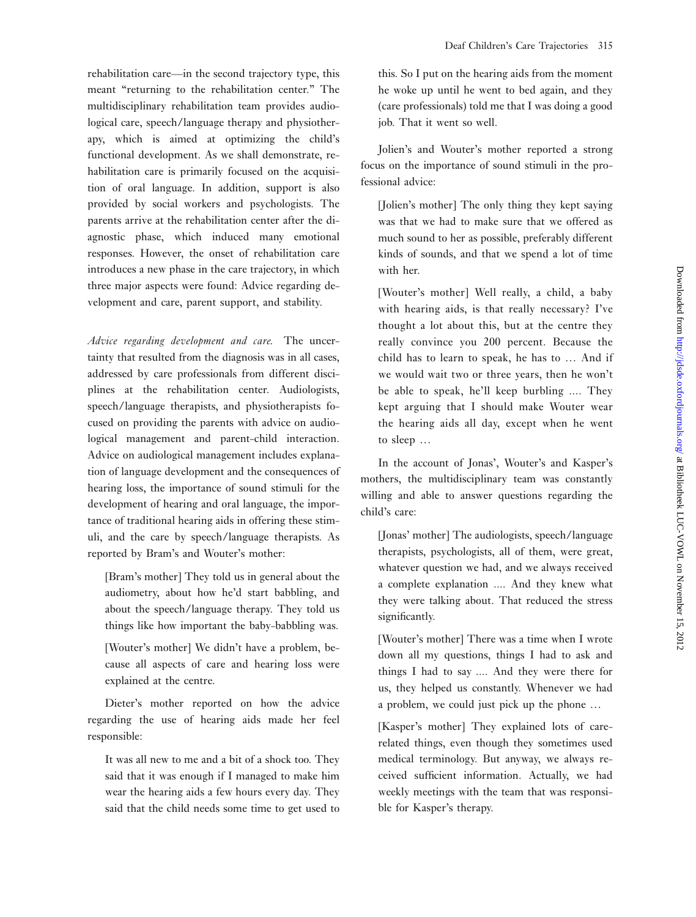rehabilitation care—in the second trajectory type, this meant "returning to the rehabilitation center." The multidisciplinary rehabilitation team provides audiological care, speech/language therapy and physiotherapy, which is aimed at optimizing the child's functional development. As we shall demonstrate, rehabilitation care is primarily focused on the acquisition of oral language. In addition, support is also provided by social workers and psychologists. The parents arrive at the rehabilitation center after the diagnostic phase, which induced many emotional responses. However, the onset of rehabilitation care introduces a new phase in the care trajectory, in which three major aspects were found: Advice regarding development and care, parent support, and stability.

Advice regarding development and care. The uncertainty that resulted from the diagnosis was in all cases, addressed by care professionals from different disciplines at the rehabilitation center. Audiologists, speech/language therapists, and physiotherapists focused on providing the parents with advice on audiological management and parent-child interaction. Advice on audiological management includes explanation of language development and the consequences of hearing loss, the importance of sound stimuli for the development of hearing and oral language, the importance of traditional hearing aids in offering these stimuli, and the care by speech/language therapists. As reported by Bram's and Wouter's mother:

[Bram's mother] They told us in general about the audiometry, about how he'd start babbling, and about the speech/language therapy. They told us things like how important the baby-babbling was.

[Wouter's mother] We didn't have a problem, because all aspects of care and hearing loss were explained at the centre.

Dieter's mother reported on how the advice regarding the use of hearing aids made her feel responsible:

It was all new to me and a bit of a shock too. They said that it was enough if I managed to make him wear the hearing aids a few hours every day. They said that the child needs some time to get used to this. So I put on the hearing aids from the moment he woke up until he went to bed again, and they (care professionals) told me that I was doing a good job. That it went so well.

Jolien's and Wouter's mother reported a strong focus on the importance of sound stimuli in the professional advice:

[Jolien's mother] The only thing they kept saying was that we had to make sure that we offered as much sound to her as possible, preferably different kinds of sounds, and that we spend a lot of time with her.

[Wouter's mother] Well really, a child, a baby with hearing aids, is that really necessary? I've thought a lot about this, but at the centre they really convince you 200 percent. Because the child has to learn to speak, he has to ... And if we would wait two or three years, then he won't be able to speak, he'll keep burbling .... They kept arguing that I should make Wouter wear the hearing aids all day, except when he went to sleep ...

In the account of Jonas', Wouter's and Kasper's mothers, the multidisciplinary team was constantly willing and able to answer questions regarding the child's care:

[Jonas' mother] The audiologists, speech/language therapists, psychologists, all of them, were great, whatever question we had, and we always received a complete explanation .... And they knew what they were talking about. That reduced the stress significantly.

[Wouter's mother] There was a time when I wrote down all my questions, things I had to ask and things I had to say .... And they were there for us, they helped us constantly. Whenever we had a problem, we could just pick up the phone .

[Kasper's mother] They explained lots of carerelated things, even though they sometimes used medical terminology. But anyway, we always received sufficient information. Actually, we had weekly meetings with the team that was responsible for Kasper's therapy.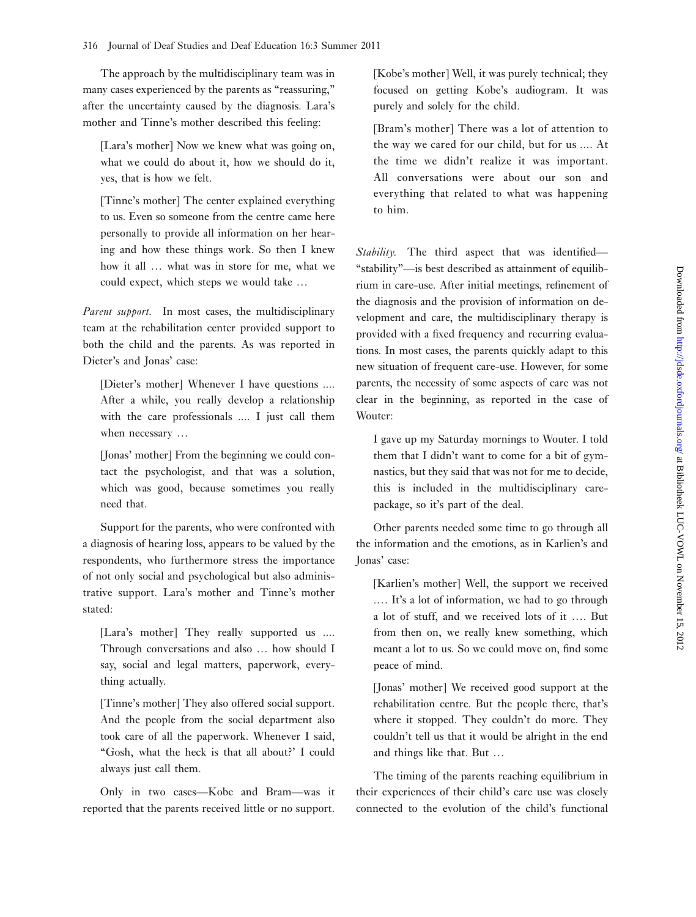The approach by the multidisciplinary team was in many cases experienced by the parents as "reassuring," after the uncertainty caused by the diagnosis. Lara's mother and Tinne's mother described this feeling:

[Lara's mother] Now we knew what was going on, what we could do about it, how we should do it, yes, that is how we felt.

[Tinne's mother] The center explained everything to us. Even so someone from the centre came here personally to provide all information on her hearing and how these things work. So then I knew how it all ... what was in store for me, what we could expect, which steps we would take .

Parent support. In most cases, the multidisciplinary team at the rehabilitation center provided support to both the child and the parents. As was reported in Dieter's and Jonas' case:

[Dieter's mother] Whenever I have questions .... After a while, you really develop a relationship with the care professionals .... I just call them when necessary ...

[Jonas' mother] From the beginning we could contact the psychologist, and that was a solution, which was good, because sometimes you really need that.

Support for the parents, who were confronted with a diagnosis of hearing loss, appears to be valued by the respondents, who furthermore stress the importance of not only social and psychological but also administrative support. Lara's mother and Tinne's mother stated:

[Lara's mother] They really supported us .... Through conversations and also ... how should I say, social and legal matters, paperwork, everything actually.

[Tinne's mother] They also offered social support. And the people from the social department also took care of all the paperwork. Whenever I said, "Gosh, what the heck is that all about?' I could always just call them.

Only in two cases—Kobe and Bram—was it reported that the parents received little or no support.

[Kobe's mother] Well, it was purely technical; they focused on getting Kobe's audiogram. It was purely and solely for the child.

[Bram's mother] There was a lot of attention to the way we cared for our child, but for us .... At the time we didn't realize it was important. All conversations were about our son and everything that related to what was happening to him.

Stability. The third aspect that was identified— "stability"—is best described as attainment of equilibrium in care-use. After initial meetings, refinement of the diagnosis and the provision of information on development and care, the multidisciplinary therapy is provided with a fixed frequency and recurring evaluations. In most cases, the parents quickly adapt to this new situation of frequent care-use. However, for some parents, the necessity of some aspects of care was not clear in the beginning, as reported in the case of Wouter:

I gave up my Saturday mornings to Wouter. I told them that I didn't want to come for a bit of gymnastics, but they said that was not for me to decide, this is included in the multidisciplinary carepackage, so it's part of the deal.

Other parents needed some time to go through all the information and the emotions, as in Karlien's and Jonas' case:

[Karlien's mother] Well, the support we received .... It's a lot of information, we had to go through a lot of stuff, and we received lots of it .... But from then on, we really knew something, which meant a lot to us. So we could move on, find some peace of mind.

[Jonas' mother] We received good support at the rehabilitation centre. But the people there, that's where it stopped. They couldn't do more. They couldn't tell us that it would be alright in the end and things like that. But .

The timing of the parents reaching equilibrium in their experiences of their child's care use was closely connected to the evolution of the child's functional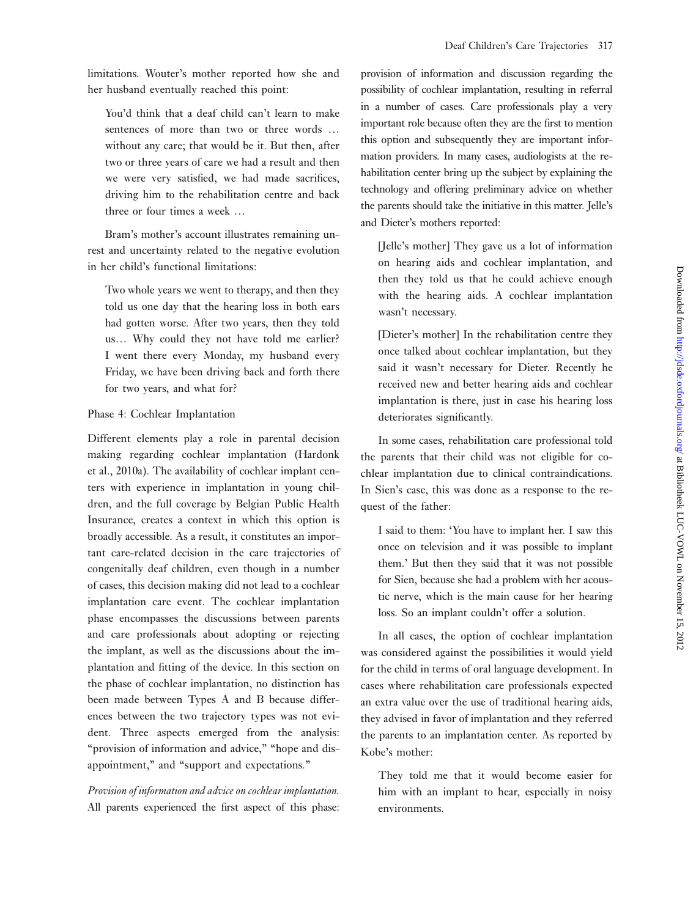limitations. Wouter's mother reported how she and her husband eventually reached this point:

You'd think that a deaf child can't learn to make sentences of more than two or three words ... without any care; that would be it. But then, after two or three years of care we had a result and then we were very satisfied, we had made sacrifices, driving him to the rehabilitation centre and back three or four times a week .

Bram's mother's account illustrates remaining unrest and uncertainty related to the negative evolution in her child's functional limitations:

Two whole years we went to therapy, and then they told us one day that the hearing loss in both ears had gotten worse. After two years, then they told us... Why could they not have told me earlier? I went there every Monday, my husband every Friday, we have been driving back and forth there for two years, and what for?

# Phase 4: Cochlear Implantation

Different elements play a role in parental decision making regarding cochlear implantation (Hardonk et al., 2010a). The availability of cochlear implant centers with experience in implantation in young children, and the full coverage by Belgian Public Health Insurance, creates a context in which this option is broadly accessible. As a result, it constitutes an important care-related decision in the care trajectories of congenitally deaf children, even though in a number of cases, this decision making did not lead to a cochlear implantation care event. The cochlear implantation phase encompasses the discussions between parents and care professionals about adopting or rejecting the implant, as well as the discussions about the implantation and fitting of the device. In this section on the phase of cochlear implantation, no distinction has been made between Types A and B because differences between the two trajectory types was not evident. Three aspects emerged from the analysis: "provision of information and advice," "hope and disappointment," and "support and expectations."

Provision of information and advice on cochlear implantation. All parents experienced the first aspect of this phase:

provision of information and discussion regarding the possibility of cochlear implantation, resulting in referral in a number of cases. Care professionals play a very important role because often they are the first to mention this option and subsequently they are important information providers. In many cases, audiologists at the rehabilitation center bring up the subject by explaining the technology and offering preliminary advice on whether the parents should take the initiative in this matter. Jelle's and Dieter's mothers reported:

[Jelle's mother] They gave us a lot of information on hearing aids and cochlear implantation, and then they told us that he could achieve enough with the hearing aids. A cochlear implantation wasn't necessary.

[Dieter's mother] In the rehabilitation centre they once talked about cochlear implantation, but they said it wasn't necessary for Dieter. Recently he received new and better hearing aids and cochlear implantation is there, just in case his hearing loss deteriorates significantly.

In some cases, rehabilitation care professional told the parents that their child was not eligible for cochlear implantation due to clinical contraindications. In Sien's case, this was done as a response to the request of the father:

I said to them: 'You have to implant her. I saw this once on television and it was possible to implant them.' But then they said that it was not possible for Sien, because she had a problem with her acoustic nerve, which is the main cause for her hearing loss. So an implant couldn't offer a solution.

In all cases, the option of cochlear implantation was considered against the possibilities it would yield for the child in terms of oral language development. In cases where rehabilitation care professionals expected an extra value over the use of traditional hearing aids, they advised in favor of implantation and they referred the parents to an implantation center. As reported by Kobe's mother:

They told me that it would become easier for him with an implant to hear, especially in noisy environments.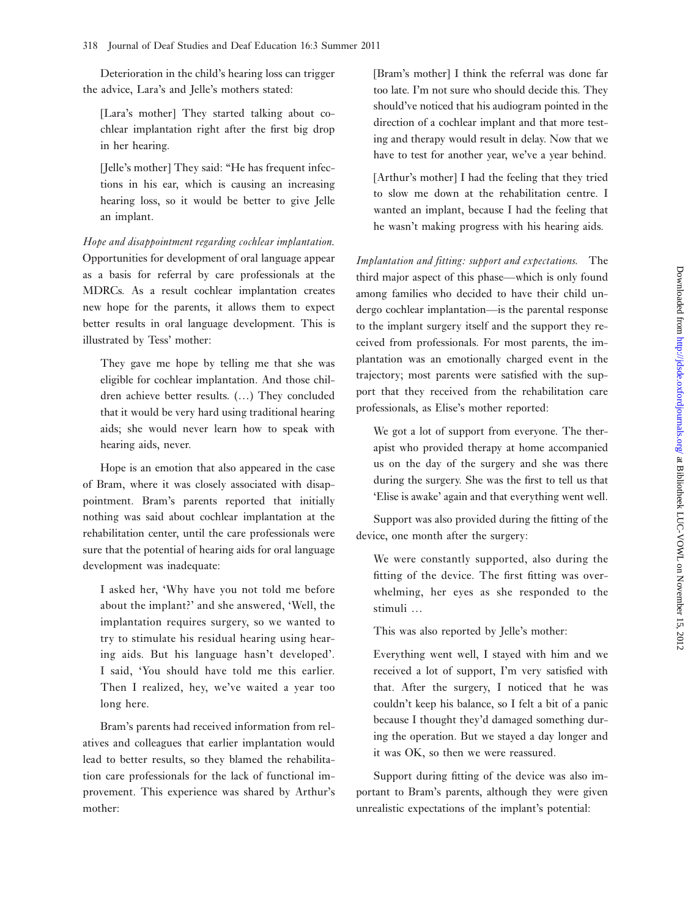Deterioration in the child's hearing loss can trigger the advice, Lara's and Jelle's mothers stated:

[Lara's mother] They started talking about cochlear implantation right after the first big drop in her hearing.

[Jelle's mother] They said: "He has frequent infections in his ear, which is causing an increasing hearing loss, so it would be better to give Jelle an implant.

Hope and disappointment regarding cochlear implantation. Opportunities for development of oral language appear as a basis for referral by care professionals at the MDRCs. As a result cochlear implantation creates new hope for the parents, it allows them to expect better results in oral language development. This is illustrated by Tess' mother:

They gave me hope by telling me that she was eligible for cochlear implantation. And those children achieve better results. (...) They concluded that it would be very hard using traditional hearing aids; she would never learn how to speak with hearing aids, never.

Hope is an emotion that also appeared in the case of Bram, where it was closely associated with disappointment. Bram's parents reported that initially nothing was said about cochlear implantation at the rehabilitation center, until the care professionals were sure that the potential of hearing aids for oral language development was inadequate:

I asked her, 'Why have you not told me before about the implant?' and she answered, 'Well, the implantation requires surgery, so we wanted to try to stimulate his residual hearing using hearing aids. But his language hasn't developed'. I said, 'You should have told me this earlier. Then I realized, hey, we've waited a year too long here.

Bram's parents had received information from relatives and colleagues that earlier implantation would lead to better results, so they blamed the rehabilitation care professionals for the lack of functional improvement. This experience was shared by Arthur's mother:

[Bram's mother] I think the referral was done far too late. I'm not sure who should decide this. They should've noticed that his audiogram pointed in the direction of a cochlear implant and that more testing and therapy would result in delay. Now that we have to test for another year, we've a year behind.

[Arthur's mother] I had the feeling that they tried to slow me down at the rehabilitation centre. I wanted an implant, because I had the feeling that he wasn't making progress with his hearing aids.

Implantation and fitting: support and expectations. The third major aspect of this phase—which is only found among families who decided to have their child undergo cochlear implantation—is the parental response to the implant surgery itself and the support they received from professionals. For most parents, the implantation was an emotionally charged event in the trajectory; most parents were satisfied with the support that they received from the rehabilitation care professionals, as Elise's mother reported:

We got a lot of support from everyone. The therapist who provided therapy at home accompanied us on the day of the surgery and she was there during the surgery. She was the first to tell us that 'Elise is awake' again and that everything went well.

Support was also provided during the fitting of the device, one month after the surgery:

We were constantly supported, also during the fitting of the device. The first fitting was overwhelming, her eyes as she responded to the stimuli .

This was also reported by Jelle's mother:

Everything went well, I stayed with him and we received a lot of support, I'm very satisfied with that. After the surgery, I noticed that he was couldn't keep his balance, so I felt a bit of a panic because I thought they'd damaged something during the operation. But we stayed a day longer and it was OK, so then we were reassured.

Support during fitting of the device was also important to Bram's parents, although they were given unrealistic expectations of the implant's potential: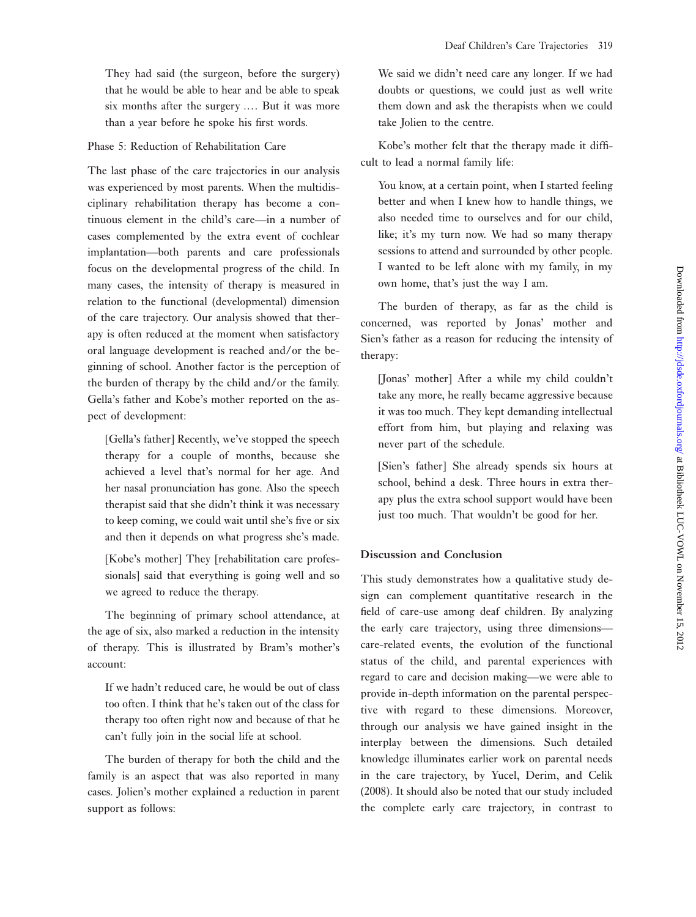They had said (the surgeon, before the surgery) that he would be able to hear and be able to speak six months after the surgery .... But it was more than a year before he spoke his first words.

# Phase 5: Reduction of Rehabilitation Care

The last phase of the care trajectories in our analysis was experienced by most parents. When the multidisciplinary rehabilitation therapy has become a continuous element in the child's care—in a number of cases complemented by the extra event of cochlear implantation—both parents and care professionals focus on the developmental progress of the child. In many cases, the intensity of therapy is measured in relation to the functional (developmental) dimension of the care trajectory. Our analysis showed that therapy is often reduced at the moment when satisfactory oral language development is reached and/or the beginning of school. Another factor is the perception of the burden of therapy by the child and/or the family. Gella's father and Kobe's mother reported on the aspect of development:

[Gella's father] Recently, we've stopped the speech therapy for a couple of months, because she achieved a level that's normal for her age. And her nasal pronunciation has gone. Also the speech therapist said that she didn't think it was necessary to keep coming, we could wait until she's five or six and then it depends on what progress she's made.

[Kobe's mother] They [rehabilitation care professionals] said that everything is going well and so we agreed to reduce the therapy.

The beginning of primary school attendance, at the age of six, also marked a reduction in the intensity of therapy. This is illustrated by Bram's mother's account:

If we hadn't reduced care, he would be out of class too often. I think that he's taken out of the class for therapy too often right now and because of that he can't fully join in the social life at school.

The burden of therapy for both the child and the family is an aspect that was also reported in many cases. Jolien's mother explained a reduction in parent support as follows:

We said we didn't need care any longer. If we had doubts or questions, we could just as well write them down and ask the therapists when we could take Jolien to the centre.

Kobe's mother felt that the therapy made it difficult to lead a normal family life:

You know, at a certain point, when I started feeling better and when I knew how to handle things, we also needed time to ourselves and for our child, like; it's my turn now. We had so many therapy sessions to attend and surrounded by other people. I wanted to be left alone with my family, in my own home, that's just the way I am.

The burden of therapy, as far as the child is concerned, was reported by Jonas' mother and Sien's father as a reason for reducing the intensity of therapy:

[Jonas' mother] After a while my child couldn't take any more, he really became aggressive because it was too much. They kept demanding intellectual effort from him, but playing and relaxing was never part of the schedule.

[Sien's father] She already spends six hours at school, behind a desk. Three hours in extra therapy plus the extra school support would have been just too much. That wouldn't be good for her.

# Discussion and Conclusion

This study demonstrates how a qualitative study design can complement quantitative research in the field of care-use among deaf children. By analyzing the early care trajectory, using three dimensions care-related events, the evolution of the functional status of the child, and parental experiences with regard to care and decision making—we were able to provide in-depth information on the parental perspective with regard to these dimensions. Moreover, through our analysis we have gained insight in the interplay between the dimensions. Such detailed knowledge illuminates earlier work on parental needs in the care trajectory, by Yucel, Derim, and Celik (2008). It should also be noted that our study included the complete early care trajectory, in contrast to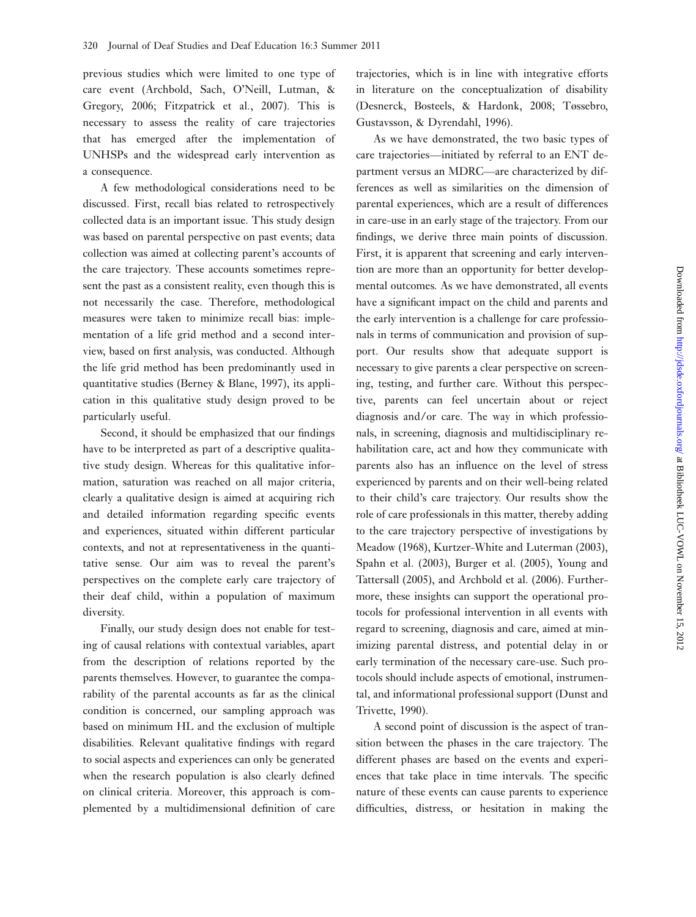previous studies which were limited to one type of care event (Archbold, Sach, O'Neill, Lutman, & Gregory, 2006; Fitzpatrick et al., 2007). This is necessary to assess the reality of care trajectories that has emerged after the implementation of UNHSPs and the widespread early intervention as a consequence.

A few methodological considerations need to be discussed. First, recall bias related to retrospectively collected data is an important issue. This study design was based on parental perspective on past events; data collection was aimed at collecting parent's accounts of the care trajectory. These accounts sometimes represent the past as a consistent reality, even though this is not necessarily the case. Therefore, methodological measures were taken to minimize recall bias: implementation of a life grid method and a second interview, based on first analysis, was conducted. Although the life grid method has been predominantly used in quantitative studies (Berney & Blane, 1997), its application in this qualitative study design proved to be particularly useful.

Second, it should be emphasized that our findings have to be interpreted as part of a descriptive qualitative study design. Whereas for this qualitative information, saturation was reached on all major criteria, clearly a qualitative design is aimed at acquiring rich and detailed information regarding specific events and experiences, situated within different particular contexts, and not at representativeness in the quantitative sense. Our aim was to reveal the parent's perspectives on the complete early care trajectory of their deaf child, within a population of maximum diversity.

Finally, our study design does not enable for testing of causal relations with contextual variables, apart from the description of relations reported by the parents themselves. However, to guarantee the comparability of the parental accounts as far as the clinical condition is concerned, our sampling approach was based on minimum HL and the exclusion of multiple disabilities. Relevant qualitative findings with regard to social aspects and experiences can only be generated when the research population is also clearly defined on clinical criteria. Moreover, this approach is complemented by a multidimensional definition of care trajectories, which is in line with integrative efforts in literature on the conceptualization of disability (Desnerck, Bosteels, & Hardonk, 2008; Tøssebro, Gustavsson, & Dyrendahl, 1996).

As we have demonstrated, the two basic types of care trajectories—initiated by referral to an ENT department versus an MDRC—are characterized by differences as well as similarities on the dimension of parental experiences, which are a result of differences in care-use in an early stage of the trajectory. From our findings, we derive three main points of discussion. First, it is apparent that screening and early intervention are more than an opportunity for better developmental outcomes. As we have demonstrated, all events have a significant impact on the child and parents and the early intervention is a challenge for care professionals in terms of communication and provision of support. Our results show that adequate support is necessary to give parents a clear perspective on screening, testing, and further care. Without this perspective, parents can feel uncertain about or reject diagnosis and/or care. The way in which professionals, in screening, diagnosis and multidisciplinary rehabilitation care, act and how they communicate with parents also has an influence on the level of stress experienced by parents and on their well-being related to their child's care trajectory. Our results show the role of care professionals in this matter, thereby adding to the care trajectory perspective of investigations by Meadow (1968), Kurtzer-White and Luterman (2003), Spahn et al. (2003), Burger et al. (2005), Young and Tattersall (2005), and Archbold et al. (2006). Furthermore, these insights can support the operational protocols for professional intervention in all events with regard to screening, diagnosis and care, aimed at minimizing parental distress, and potential delay in or early termination of the necessary care-use. Such protocols should include aspects of emotional, instrumental, and informational professional support (Dunst and Trivette, 1990).

A second point of discussion is the aspect of transition between the phases in the care trajectory. The different phases are based on the events and experiences that take place in time intervals. The specific nature of these events can cause parents to experience difficulties, distress, or hesitation in making the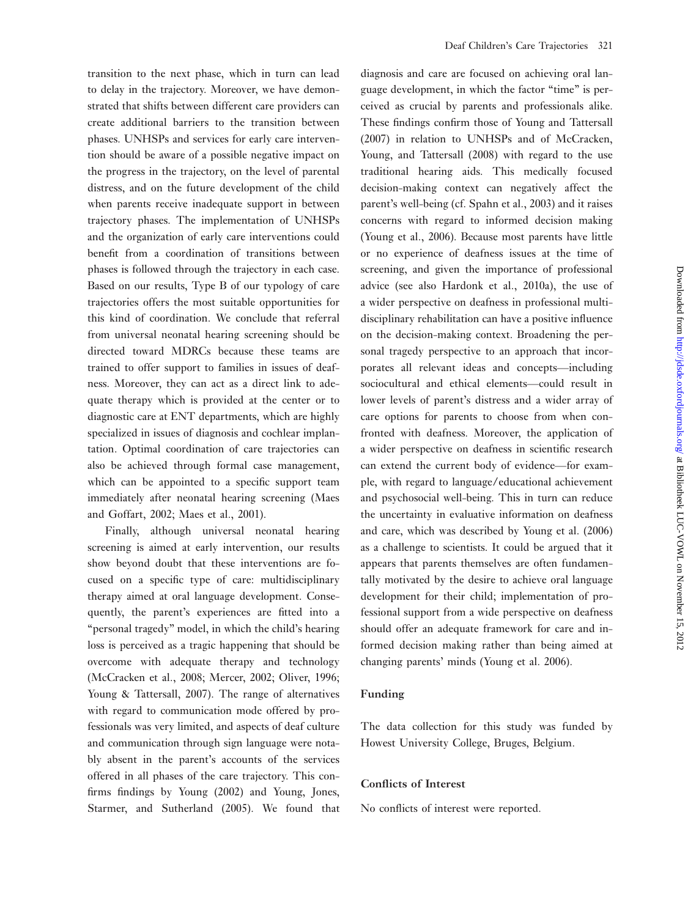transition to the next phase, which in turn can lead to delay in the trajectory. Moreover, we have demonstrated that shifts between different care providers can create additional barriers to the transition between phases. UNHSPs and services for early care intervention should be aware of a possible negative impact on the progress in the trajectory, on the level of parental distress, and on the future development of the child when parents receive inadequate support in between trajectory phases. The implementation of UNHSPs and the organization of early care interventions could benefit from a coordination of transitions between phases is followed through the trajectory in each case. Based on our results, Type B of our typology of care trajectories offers the most suitable opportunities for this kind of coordination. We conclude that referral from universal neonatal hearing screening should be directed toward MDRCs because these teams are trained to offer support to families in issues of deafness. Moreover, they can act as a direct link to adequate therapy which is provided at the center or to diagnostic care at ENT departments, which are highly specialized in issues of diagnosis and cochlear implantation. Optimal coordination of care trajectories can also be achieved through formal case management, which can be appointed to a specific support team immediately after neonatal hearing screening (Maes and Goffart, 2002; Maes et al., 2001).

Finally, although universal neonatal hearing screening is aimed at early intervention, our results show beyond doubt that these interventions are focused on a specific type of care: multidisciplinary therapy aimed at oral language development. Consequently, the parent's experiences are fitted into a "personal tragedy" model, in which the child's hearing loss is perceived as a tragic happening that should be overcome with adequate therapy and technology (McCracken et al., 2008; Mercer, 2002; Oliver, 1996; Young & Tattersall, 2007). The range of alternatives with regard to communication mode offered by professionals was very limited, and aspects of deaf culture and communication through sign language were notably absent in the parent's accounts of the services offered in all phases of the care trajectory. This confirms findings by Young (2002) and Young, Jones, Starmer, and Sutherland (2005). We found that

diagnosis and care are focused on achieving oral language development, in which the factor "time" is perceived as crucial by parents and professionals alike. These findings confirm those of Young and Tattersall (2007) in relation to UNHSPs and of McCracken, Young, and Tattersall (2008) with regard to the use traditional hearing aids. This medically focused decision-making context can negatively affect the parent's well-being (cf. Spahn et al., 2003) and it raises concerns with regard to informed decision making (Young et al., 2006). Because most parents have little or no experience of deafness issues at the time of screening, and given the importance of professional advice (see also Hardonk et al., 2010a), the use of a wider perspective on deafness in professional multidisciplinary rehabilitation can have a positive influence on the decision-making context. Broadening the personal tragedy perspective to an approach that incorporates all relevant ideas and concepts—including sociocultural and ethical elements—could result in lower levels of parent's distress and a wider array of care options for parents to choose from when confronted with deafness. Moreover, the application of a wider perspective on deafness in scientific research can extend the current body of evidence—for example, with regard to language/educational achievement and psychosocial well-being. This in turn can reduce the uncertainty in evaluative information on deafness and care, which was described by Young et al. (2006) as a challenge to scientists. It could be argued that it appears that parents themselves are often fundamentally motivated by the desire to achieve oral language development for their child; implementation of professional support from a wide perspective on deafness should offer an adequate framework for care and informed decision making rather than being aimed at changing parents' minds (Young et al. 2006).

# Funding

The data collection for this study was funded by Howest University College, Bruges, Belgium.

#### Conflicts of Interest

No conflicts of interest were reported.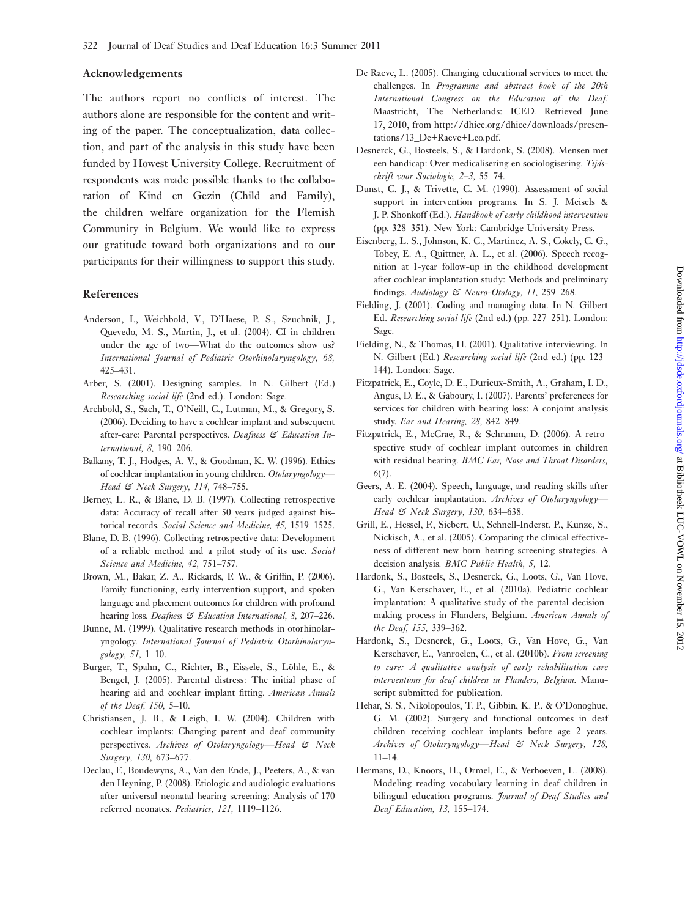#### Acknowledgements

The authors report no conflicts of interest. The authors alone are responsible for the content and writing of the paper. The conceptualization, data collection, and part of the analysis in this study have been funded by Howest University College. Recruitment of respondents was made possible thanks to the collaboration of Kind en Gezin (Child and Family), the children welfare organization for the Flemish Community in Belgium. We would like to express our gratitude toward both organizations and to our participants for their willingness to support this study.

#### References

- Anderson, I., Weichbold, V., D'Haese, P. S., Szuchnik, J., Quevedo, M. S., Martin, J., et al. (2004). CI in children under the age of two—What do the outcomes show us? International Journal of Pediatric Otorhinolaryngology, 68, 425–431.
- Arber, S. (2001). Designing samples. In N. Gilbert (Ed.) Researching social life (2nd ed.). London: Sage.
- Archbold, S., Sach, T., O'Neill, C., Lutman, M., & Gregory, S. (2006). Deciding to have a cochlear implant and subsequent after-care: Parental perspectives. Deafness & Education International, 8, 190–206.
- Balkany, T. J., Hodges, A. V., & Goodman, K. W. (1996). Ethics of cochlear implantation in young children. Otolaryngology— Head & Neck Surgery, 114, 748-755.
- Berney, L. R., & Blane, D. B. (1997). Collecting retrospective data: Accuracy of recall after 50 years judged against historical records. Social Science and Medicine, 45, 1519–1525.
- Blane, D. B. (1996). Collecting retrospective data: Development of a reliable method and a pilot study of its use. Social Science and Medicine, 42, 751–757.
- Brown, M., Bakar, Z. A., Rickards, F. W., & Griffin, P. (2006). Family functioning, early intervention support, and spoken language and placement outcomes for children with profound hearing loss. Deafness & Education International, 8, 207-226.
- Bunne, M. (1999). Qualitative research methods in otorhinolaryngology. International Journal of Pediatric Otorhinolaryngology, 51, 1–10.
- Burger, T., Spahn, C., Richter, B., Eissele, S., Löhle, E., & Bengel, J. (2005). Parental distress: The initial phase of hearing aid and cochlear implant fitting. American Annals of the Deaf, 150, 5–10.
- Christiansen, J. B., & Leigh, I. W. (2004). Children with cochlear implants: Changing parent and deaf community perspectives. Archives of Otolaryngology-Head & Neck Surgery, 130, 673–677.
- Declau, F., Boudewyns, A., Van den Ende, J., Peeters, A., & van den Heyning, P. (2008). Etiologic and audiologic evaluations after universal neonatal hearing screening: Analysis of 170 referred neonates. Pediatrics, 121, 1119–1126.
- De Raeve, L. (2005). Changing educational services to meet the challenges. In Programme and abstract book of the 20th International Congress on the Education of the Deaf. Maastricht, The Netherlands: ICED. Retrieved June 17, 2010, from [http://dhice.org/dhice/downloads/presen](http://dhice.org/dhice/downloads/presentations/13_De+Raeve+Leo.pdf)[tations/13\\_De+Raeve+Leo.pdf.](http://dhice.org/dhice/downloads/presentations/13_De+Raeve+Leo.pdf)
- Desnerck, G., Bosteels, S., & Hardonk, S. (2008). Mensen met een handicap: Over medicalisering en sociologisering. Tijdschrift voor Sociologie, 2–3, 55–74.
- Dunst, C. J., & Trivette, C. M. (1990). Assessment of social support in intervention programs. In S. J. Meisels & J. P. Shonkoff (Ed.). Handbook of early childhood intervention (pp. 328–351). New York: Cambridge University Press.
- Eisenberg, L. S., Johnson, K. C., Martinez, A. S., Cokely, C. G., Tobey, E. A., Quittner, A. L., et al. (2006). Speech recognition at 1-year follow-up in the childhood development after cochlear implantation study: Methods and preliminary findings. Audiology & Neuro-Otology, 11, 259–268.
- Fielding, J. (2001). Coding and managing data. In N. Gilbert Ed. Researching social life (2nd ed.) (pp. 227–251). London: Sage.
- Fielding, N., & Thomas, H. (2001). Qualitative interviewing. In N. Gilbert (Ed.) Researching social life (2nd ed.) (pp. 123-144). London: Sage.
- Fitzpatrick, E., Coyle, D. E., Durieux-Smith, A., Graham, I. D., Angus, D. E., & Gaboury, I. (2007). Parents' preferences for services for children with hearing loss: A conjoint analysis study. Ear and Hearing, 28, 842–849.
- Fitzpatrick, E., McCrae, R., & Schramm, D. (2006). A retrospective study of cochlear implant outcomes in children with residual hearing. BMC Ear, Nose and Throat Disorders, 6(7).
- Geers, A. E. (2004). Speech, language, and reading skills after early cochlear implantation. Archives of Otolaryngology-Head & Neck Surgery, 130, 634-638.
- Grill, E., Hessel, F., Siebert, U., Schnell-Inderst, P., Kunze, S., Nickisch, A., et al. (2005). Comparing the clinical effectiveness of different new-born hearing screening strategies. A decision analysis. BMC Public Health, 5, 12.
- Hardonk, S., Bosteels, S., Desnerck, G., Loots, G., Van Hove, G., Van Kerschaver, E., et al. (2010a). Pediatric cochlear implantation: A qualitative study of the parental decisionmaking process in Flanders, Belgium. American Annals of the Deaf, 155, 339–362.
- Hardonk, S., Desnerck, G., Loots, G., Van Hove, G., Van Kerschaver, E., Vanroelen, C., et al. (2010b). From screening to care: A qualitative analysis of early rehabilitation care interventions for deaf children in Flanders, Belgium. Manuscript submitted for publication.
- Hehar, S. S., Nikolopoulos, T. P., Gibbin, K. P., & O'Donoghue, G. M. (2002). Surgery and functional outcomes in deaf children receiving cochlear implants before age 2 years. Archives of Otolaryngology—Head & Neck Surgery, 128, 11–14.
- Hermans, D., Knoors, H., Ormel, E., & Verhoeven, L. (2008). Modeling reading vocabulary learning in deaf children in bilingual education programs. Journal of Deaf Studies and Deaf Education, 13, 155–174.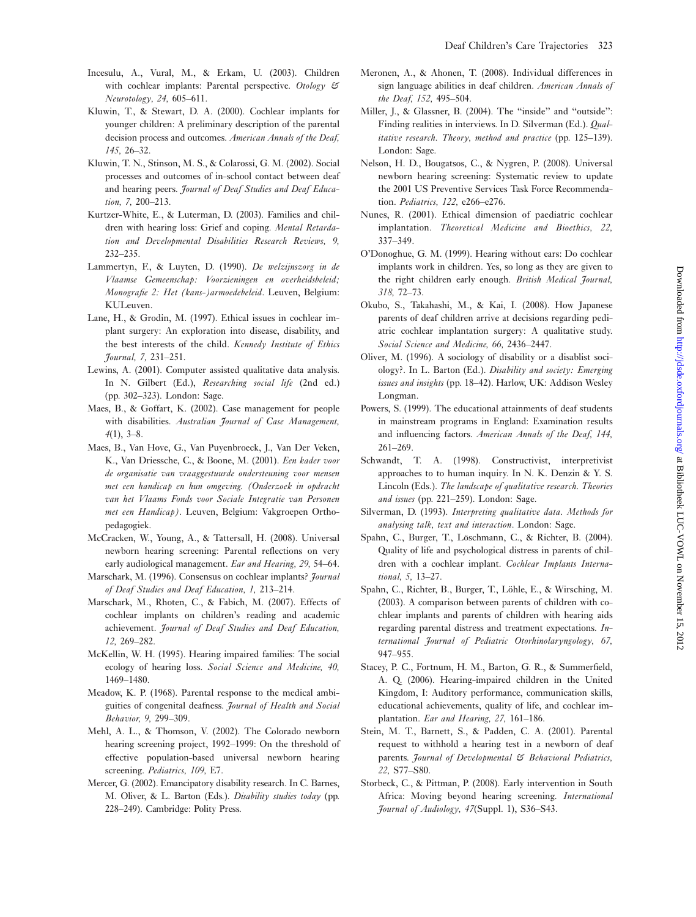- Incesulu, A., Vural, M., & Erkam, U. (2003). Children with cochlear implants: Parental perspective. Otology  $\mathfrak S$ Neurotology, 24, 605–611.
- Kluwin, T., & Stewart, D. A. (2000). Cochlear implants for younger children: A preliminary description of the parental decision process and outcomes. American Annals of the Deaf,  $145, 26-32.$
- Kluwin, T. N., Stinson, M. S., & Colarossi, G. M. (2002). Social processes and outcomes of in-school contact between deaf and hearing peers. Journal of Deaf Studies and Deaf Education, 7, 200-213.
- Kurtzer-White, E., & Luterman, D. (2003). Families and children with hearing loss: Grief and coping. Mental Retardation and Developmental Disabilities Research Reviews, 9, 232–235.
- Lammertyn, F., & Luyten, D. (1990). De welzijnszorg in de Vlaamse Gemeenschap: Voorzieningen en overheidsbeleid; Monografie 2: Het (kans-)armoedebeleid. Leuven, Belgium: KULeuven.
- Lane, H., & Grodin, M. (1997). Ethical issues in cochlear implant surgery: An exploration into disease, disability, and the best interests of the child. Kennedy Institute of Ethics Journal, 7, 231–251.
- Lewins, A. (2001). Computer assisted qualitative data analysis. In N. Gilbert (Ed.), Researching social life (2nd ed.) (pp. 302–323). London: Sage.
- Maes, B., & Goffart, K. (2002). Case management for people with disabilities. Australian Journal of Case Management, 4(1), 3–8.
- Maes, B., Van Hove, G., Van Puyenbroeck, J., Van Der Veken, K., Van Driessche, C., & Boone, M. (2001). Een kader voor de organisatie van vraaggestuurde ondersteuning voor mensen met een handicap en hun omgeving. (Onderzoek in opdracht van het Vlaams Fonds voor Sociale Integratie van Personen met een Handicap). Leuven, Belgium: Vakgroepen Orthopedagogiek.
- McCracken, W., Young, A., & Tattersall, H. (2008). Universal newborn hearing screening: Parental reflections on very early audiological management. Ear and Hearing, 29, 54–64.
- Marschark, M. (1996). Consensus on cochlear implants? Journal of Deaf Studies and Deaf Education, 1, 213–214.
- Marschark, M., Rhoten, C., & Fabich, M. (2007). Effects of cochlear implants on children's reading and academic achievement. Journal of Deaf Studies and Deaf Education, 12, 269–282.
- McKellin, W. H. (1995). Hearing impaired families: The social ecology of hearing loss. Social Science and Medicine, 40, 1469–1480.
- Meadow, K. P. (1968). Parental response to the medical ambiguities of congenital deafness. Journal of Health and Social Behavior, 9, 299–309.
- Mehl, A. L., & Thomson, V. (2002). The Colorado newborn hearing screening project, 1992–1999: On the threshold of effective population-based universal newborn hearing screening. Pediatrics, 109, E7.
- Mercer, G. (2002). Emancipatory disability research. In C. Barnes, M. Oliver, & L. Barton (Eds.). Disability studies today (pp. 228–249). Cambridge: Polity Press.
- Meronen, A., & Ahonen, T. (2008). Individual differences in sign language abilities in deaf children. American Annals of the Deaf, 152, 495–504.
- Miller, J., & Glassner, B. (2004). The ''inside'' and ''outside'': Finding realities in interviews. In D. Silverman (Ed.). Qualitative research. Theory, method and practice (pp. 125–139). London: Sage.
- Nelson, H. D., Bougatsos, C., & Nygren, P. (2008). Universal newborn hearing screening: Systematic review to update the 2001 US Preventive Services Task Force Recommendation. Pediatrics, 122, e266–e276.
- Nunes, R. (2001). Ethical dimension of paediatric cochlear implantation. Theoretical Medicine and Bioethics, 22, 337–349.
- O'Donoghue, G. M. (1999). Hearing without ears: Do cochlear implants work in children. Yes, so long as they are given to the right children early enough. British Medical Journal, 318, 72–73.
- Okubo, S., Takahashi, M., & Kai, I. (2008). How Japanese parents of deaf children arrive at decisions regarding pediatric cochlear implantation surgery: A qualitative study. Social Science and Medicine, 66, 2436–2447.
- Oliver, M. (1996). A sociology of disability or a disablist sociology?. In L. Barton (Ed.). Disability and society: Emerging issues and insights (pp. 18–42). Harlow, UK: Addison Wesley Longman.
- Powers, S. (1999). The educational attainments of deaf students in mainstream programs in England: Examination results and influencing factors. American Annals of the Deaf, 144, 261–269.
- Schwandt, T. A. (1998). Constructivist, interpretivist approaches to to human inquiry. In N. K. Denzin & Y. S. Lincoln (Eds.). The landscape of qualitative research. Theories and issues (pp. 221–259). London: Sage.
- Silverman, D. (1993). Interpreting qualitative data. Methods for analysing talk, text and interaction. London: Sage.
- Spahn, C., Burger, T., Löschmann, C., & Richter, B. (2004). Quality of life and psychological distress in parents of children with a cochlear implant. Cochlear Implants International, 5, 13–27.
- Spahn, C., Richter, B., Burger, T., Löhle, E., & Wirsching, M. (2003). A comparison between parents of children with cochlear implants and parents of children with hearing aids regarding parental distress and treatment expectations. International Journal of Pediatric Otorhinolaryngology, 67, 947–955.
- Stacey, P. C., Fortnum, H. M., Barton, G. R., & Summerfield, A. Q. (2006). Hearing-impaired children in the United Kingdom, I: Auditory performance, communication skills, educational achievements, quality of life, and cochlear implantation. Ear and Hearing, 27, 161–186.
- Stein, M. T., Barnett, S., & Padden, C. A. (2001). Parental request to withhold a hearing test in a newborn of deaf parents. Journal of Developmental & Behavioral Pediatrics, 22, S77–S80.
- Storbeck, C., & Pittman, P. (2008). Early intervention in South Africa: Moving beyond hearing screening. International Journal of Audiology, 47(Suppl. 1), S36–S43.